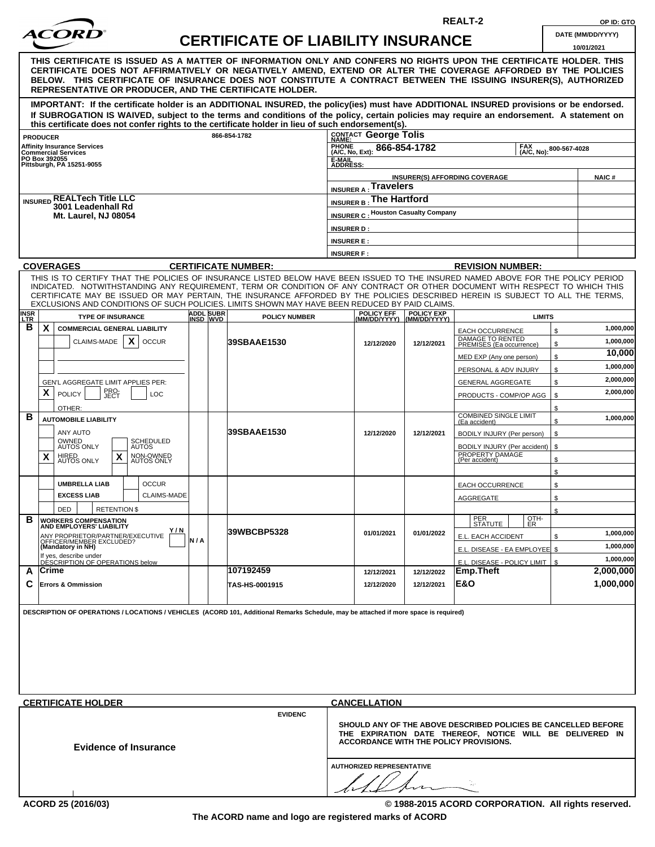| ACORD |  |
|-------|--|
|       |  |

## **CERTIFICATE OF LIABILITY INSURANCE DATE (MM/DD/YYYY)**

**REALT-2 OP ID: GTO**

|                                                                                                                                                                                                                                                                                                                                                                                                                  |                       |                                                                                                           |                                  |                                            |                                                                |              | 10/01/2021   |
|------------------------------------------------------------------------------------------------------------------------------------------------------------------------------------------------------------------------------------------------------------------------------------------------------------------------------------------------------------------------------------------------------------------|-----------------------|-----------------------------------------------------------------------------------------------------------|----------------------------------|--------------------------------------------|----------------------------------------------------------------|--------------|--------------|
| THIS CERTIFICATE IS ISSUED AS A MATTER OF INFORMATION ONLY AND CONFERS NO RIGHTS UPON THE CERTIFICATE HOLDER. THIS<br>CERTIFICATE DOES NOT AFFIRMATIVELY OR NEGATIVELY AMEND, EXTEND OR ALTER THE COVERAGE AFFORDED BY THE POLICIES<br>BELOW. THIS CERTIFICATE OF INSURANCE DOES NOT CONSTITUTE A CONTRACT BETWEEN THE ISSUING INSURER(S), AUTHORIZED<br>REPRESENTATIVE OR PRODUCER, AND THE CERTIFICATE HOLDER. |                       |                                                                                                           |                                  |                                            |                                                                |              |              |
| IMPORTANT: If the certificate holder is an ADDITIONAL INSURED, the policy(ies) must have ADDITIONAL INSURED provisions or be endorsed.<br>If SUBROGATION IS WAIVED, subject to the terms and conditions of the policy, certain policies may require an endorsement. A statement on<br>this certificate does not confer rights to the certificate holder in lieu of such endorsement(s).                          |                       |                                                                                                           |                                  |                                            |                                                                |              |              |
| <b>PRODUCER</b>                                                                                                                                                                                                                                                                                                                                                                                                  |                       | 866-854-1782                                                                                              | CONTACT George Tolis             |                                            |                                                                |              |              |
| <b>Affinity Insurance Services</b><br><b>Commercial Services</b>                                                                                                                                                                                                                                                                                                                                                 |                       |                                                                                                           | <b>PHONE</b><br>(A/C, No, Ext):  | 866-854-1782                               | <b>FAX</b>                                                     | 800-567-4028 |              |
| PO Box 392055<br>Pittsburgh, PA 15251-9055                                                                                                                                                                                                                                                                                                                                                                       |                       |                                                                                                           | (A/C, No):<br>E-MAIL             |                                            |                                                                |              |              |
|                                                                                                                                                                                                                                                                                                                                                                                                                  |                       |                                                                                                           | <b>ADDRESS</b>                   |                                            |                                                                |              |              |
|                                                                                                                                                                                                                                                                                                                                                                                                                  |                       |                                                                                                           | <b>INSURER A: Travelers</b>      |                                            | <b>INSURER(S) AFFORDING COVERAGE</b>                           |              | <b>NAIC#</b> |
| <b>INSURED REALTech Title LLC</b>                                                                                                                                                                                                                                                                                                                                                                                |                       |                                                                                                           |                                  |                                            |                                                                |              |              |
| 3001 Leadenhall Rd                                                                                                                                                                                                                                                                                                                                                                                               |                       | INSURER B: The Hartford                                                                                   |                                  |                                            |                                                                |              |              |
| <b>Mt. Laurel, NJ 08054</b>                                                                                                                                                                                                                                                                                                                                                                                      |                       |                                                                                                           |                                  | <b>INSURER C: Houston Casualty Company</b> |                                                                |              |              |
|                                                                                                                                                                                                                                                                                                                                                                                                                  |                       |                                                                                                           | <b>INSURER D:</b>                |                                            |                                                                |              |              |
|                                                                                                                                                                                                                                                                                                                                                                                                                  |                       |                                                                                                           | <b>INSURER E:</b>                |                                            |                                                                |              |              |
|                                                                                                                                                                                                                                                                                                                                                                                                                  |                       |                                                                                                           | <b>INSURER F:</b>                |                                            |                                                                |              |              |
| <b>COVERAGES</b>                                                                                                                                                                                                                                                                                                                                                                                                 |                       | <b>CERTIFICATE NUMBER:</b>                                                                                |                                  |                                            | <b>REVISION NUMBER:</b>                                        |              |              |
| THIS IS TO CERTIFY THAT THE POLICIES OF INSURANCE LISTED BELOW HAVE BEEN ISSUED TO THE INSURED NAMED ABOVE FOR THE POLICY PERIOD                                                                                                                                                                                                                                                                                 |                       |                                                                                                           |                                  |                                            |                                                                |              |              |
| INDICATED. NOTWITHSTANDING ANY REQUIREMENT, TERM OR CONDITION OF ANY CONTRACT OR OTHER DOCUMENT WITH RESPECT TO WHICH THIS<br>CERTIFICATE MAY BE ISSUED OR MAY PERTAIN, THE INSURANCE AFFORDED BY THE POLICIES DESCRIBED HEREIN IS SUBJECT TO ALL THE TERMS,<br>EXCLUSIONS AND CONDITIONS OF SUCH POLICIES. LIMITS SHOWN MAY HAVE BEEN REDUCED BY PAID CLAIMS.                                                   |                       |                                                                                                           |                                  |                                            |                                                                |              |              |
| <b>INSR</b><br><b>TYPE OF INSURANCE</b><br>LLTR.                                                                                                                                                                                                                                                                                                                                                                 | ADDL SUBR<br>INSD WVD | <b>POLICY NUMBER</b>                                                                                      | POLICY EFF<br>(MM/DD/YYYY)       | POLICY EXP<br>(MM/DD/YYYY)                 | <b>LIMITS</b>                                                  |              |              |
| в<br>X<br><b>COMMERCIAL GENERAL LIABILITY</b>                                                                                                                                                                                                                                                                                                                                                                    |                       |                                                                                                           |                                  |                                            | <b>EACH OCCURRENCE</b>                                         | \$           | 1,000,000    |
| X<br>CLAIMS-MADE<br><b>OCCUR</b>                                                                                                                                                                                                                                                                                                                                                                                 |                       | 39SBAAE1530                                                                                               | 12/12/2020                       | 12/12/2021                                 | DAMAGE TO RENTED<br>PREMISES (Ea occurrence)                   | \$           | 1.000.000    |
|                                                                                                                                                                                                                                                                                                                                                                                                                  |                       |                                                                                                           |                                  |                                            |                                                                | \$           | 10,000       |
|                                                                                                                                                                                                                                                                                                                                                                                                                  |                       |                                                                                                           |                                  |                                            | MED EXP (Any one person)                                       |              | 1,000,000    |
|                                                                                                                                                                                                                                                                                                                                                                                                                  |                       |                                                                                                           |                                  |                                            | PERSONAL & ADV INJURY                                          | \$           | 2,000,000    |
| GEN'L AGGREGATE LIMIT APPLIES PER:                                                                                                                                                                                                                                                                                                                                                                               |                       |                                                                                                           |                                  |                                            | <b>GENERAL AGGREGATE</b>                                       | \$           |              |
| X<br>PRO-<br>JECT<br><b>POLICY</b><br>LOC                                                                                                                                                                                                                                                                                                                                                                        |                       |                                                                                                           |                                  |                                            | PRODUCTS - COMP/OP AGG                                         | \$           | 2,000,000    |
| OTHER:                                                                                                                                                                                                                                                                                                                                                                                                           |                       |                                                                                                           |                                  |                                            |                                                                | \$           |              |
| в<br><b>AUTOMOBILE LIABILITY</b>                                                                                                                                                                                                                                                                                                                                                                                 |                       |                                                                                                           |                                  |                                            | <b>COMBINED SINGLE LIMIT</b><br>(Ea accident)                  | \$           | 1,000,000    |
| <b>ANY AUTO</b>                                                                                                                                                                                                                                                                                                                                                                                                  |                       | 39SBAAE1530                                                                                               | 12/12/2020                       | 12/12/2021                                 | BODILY INJURY (Per person)                                     | \$           |              |
| OWNED<br>AUTOS ONLY<br><b>SCHEDULED</b><br><b>AUTOS</b>                                                                                                                                                                                                                                                                                                                                                          |                       |                                                                                                           |                                  |                                            | BODILY INJURY (Per accident)                                   | \$           |              |
| X<br>HIRED<br>AUTOS ONLY<br>NON-OWNED<br>AUTOS ONLY<br>X                                                                                                                                                                                                                                                                                                                                                         |                       |                                                                                                           |                                  |                                            | PROPERTY DAMAGE<br>(Per accident)                              | \$           |              |
|                                                                                                                                                                                                                                                                                                                                                                                                                  |                       |                                                                                                           |                                  |                                            |                                                                | \$           |              |
| <b>UMBRELLA LIAB</b><br><b>OCCUR</b>                                                                                                                                                                                                                                                                                                                                                                             |                       |                                                                                                           |                                  |                                            | <b>EACH OCCURRENCE</b>                                         | \$           |              |
| <b>EXCESS LIAB</b><br><b>CLAIMS-MADE</b>                                                                                                                                                                                                                                                                                                                                                                         |                       |                                                                                                           |                                  |                                            |                                                                |              |              |
|                                                                                                                                                                                                                                                                                                                                                                                                                  |                       |                                                                                                           |                                  |                                            | <b>AGGREGATE</b>                                               | \$           |              |
| <b>RETENTION \$</b><br><b>DED</b>                                                                                                                                                                                                                                                                                                                                                                                |                       |                                                                                                           |                                  |                                            | PER<br>OTH-                                                    | \$           |              |
| в<br><b>WORKERS COMPENSATION</b><br>AND EMPLOYERS' LIABILITY<br>Y/N                                                                                                                                                                                                                                                                                                                                              |                       |                                                                                                           |                                  |                                            | <u>  SIAIUIE              </u><br><u>I ER</u>                  |              |              |
| ANY PROPRIETOR/PARTNER/EXECUTIVE<br>OFFICER/MEMBER EXCLUDED?<br>(Mandatory in NH)                                                                                                                                                                                                                                                                                                                                | N/A                   | 39WBCBP5328                                                                                               | 01/01/2021                       | 01/01/2022                                 | E.L. EACH ACCIDENT                                             | \$           | 1,000,000    |
|                                                                                                                                                                                                                                                                                                                                                                                                                  |                       |                                                                                                           |                                  |                                            | E.L. DISEASE - EA EMPLOYEE \$                                  |              | 1.000.000    |
| If yes, describe under<br>DESCRIPTION OF OPERATIONS below                                                                                                                                                                                                                                                                                                                                                        |                       |                                                                                                           |                                  |                                            | E.L. DISEASE - POLICY LIMIT                                    | \$           | 1,000,000    |
| ∣Crime<br>A                                                                                                                                                                                                                                                                                                                                                                                                      |                       | 107192459                                                                                                 | 12/12/2021                       | 12/12/2022                                 | Emp.Theft                                                      |              | 2,000,000    |
| С<br><b>Errors &amp; Ommission</b>                                                                                                                                                                                                                                                                                                                                                                               |                       | TAS-HS-0001915                                                                                            | 12/12/2020                       | 12/12/2021                                 | E&O                                                            |              | 1,000,000    |
|                                                                                                                                                                                                                                                                                                                                                                                                                  |                       |                                                                                                           |                                  |                                            |                                                                |              |              |
| DESCRIPTION OF OPERATIONS / LOCATIONS / VEHICLES (ACORD 101, Additional Remarks Schedule, may be attached if more space is required)                                                                                                                                                                                                                                                                             |                       |                                                                                                           |                                  |                                            |                                                                |              |              |
|                                                                                                                                                                                                                                                                                                                                                                                                                  |                       |                                                                                                           |                                  |                                            |                                                                |              |              |
|                                                                                                                                                                                                                                                                                                                                                                                                                  |                       |                                                                                                           |                                  |                                            |                                                                |              |              |
|                                                                                                                                                                                                                                                                                                                                                                                                                  |                       |                                                                                                           |                                  |                                            |                                                                |              |              |
|                                                                                                                                                                                                                                                                                                                                                                                                                  |                       |                                                                                                           |                                  |                                            |                                                                |              |              |
|                                                                                                                                                                                                                                                                                                                                                                                                                  |                       |                                                                                                           |                                  |                                            |                                                                |              |              |
|                                                                                                                                                                                                                                                                                                                                                                                                                  |                       |                                                                                                           |                                  |                                            |                                                                |              |              |
|                                                                                                                                                                                                                                                                                                                                                                                                                  |                       |                                                                                                           |                                  |                                            |                                                                |              |              |
| <b>CERTIFICATE HOLDER</b>                                                                                                                                                                                                                                                                                                                                                                                        |                       |                                                                                                           | <b>CANCELLATION</b>              |                                            |                                                                |              |              |
|                                                                                                                                                                                                                                                                                                                                                                                                                  |                       | <b>EVIDENC</b>                                                                                            |                                  |                                            | SHOULD ANY OF THE ABOVE DESCRIBED POLICIES BE CANCELLED BEFORE |              |              |
|                                                                                                                                                                                                                                                                                                                                                                                                                  |                       | THE EXPIRATION DATE THEREOF, NOTICE WILL BE DELIVERED IN<br><b>ACCORDANCE WITH THE POLICY PROVISIONS.</b> |                                  |                                            |                                                                |              |              |
| <b>Evidence of Insurance</b>                                                                                                                                                                                                                                                                                                                                                                                     |                       |                                                                                                           |                                  |                                            |                                                                |              |              |
|                                                                                                                                                                                                                                                                                                                                                                                                                  |                       |                                                                                                           | <b>AUTHORIZED REPRESENTATIVE</b> |                                            |                                                                |              |              |
|                                                                                                                                                                                                                                                                                                                                                                                                                  |                       |                                                                                                           |                                  |                                            |                                                                |              |              |
|                                                                                                                                                                                                                                                                                                                                                                                                                  |                       |                                                                                                           |                                  |                                            |                                                                |              |              |
|                                                                                                                                                                                                                                                                                                                                                                                                                  |                       |                                                                                                           |                                  |                                            |                                                                |              |              |

**ACORD 25 (2016/03) © 1988-2015 ACORD CORPORATION. All rights reserved.**

」